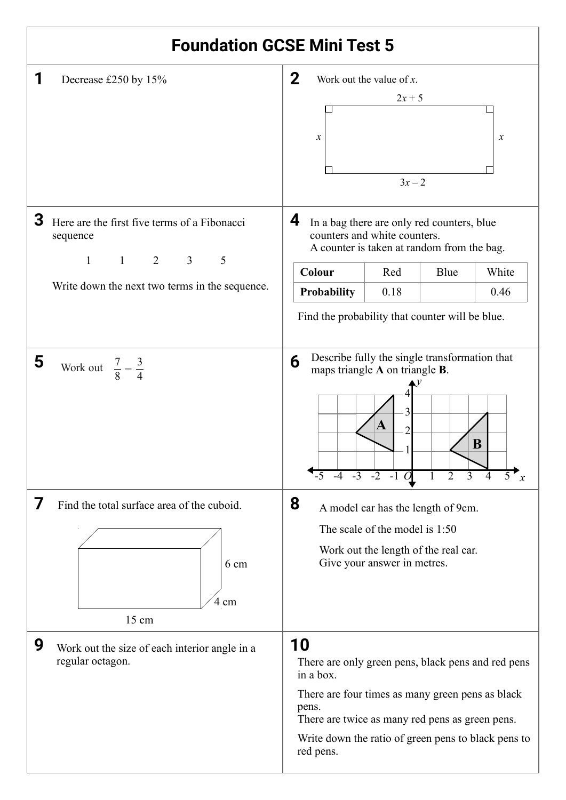## **1** Decrease £250 by 15%  $\vert 2 \vert$ **3** Here are the first five terms of a Fibonacci **4 5** Work out  $\frac{7}{6} - \frac{3}{4}$  **6 7** Find the total surface area of the cuboid. **8 9** Work out the size of each interior angle in a **10 Foundation GCSE Mini Test 5**  $3x - 2$  $2x + 5$  $x \mid x$ Work out the value of *x*. sequence 1 1 2 3 5 Write down the next two terms in the sequence. **Colour** Red Blue White **Probability** 0.18 0.46 Find the probability that counter will be blue. In a bag there are only red counters, blue counters and white counters. A counter is taken at random from the bag.  $\frac{7}{8}$  – 3 4 *x y* 1 2 3 4 -5 -4 -3 -2 -51 *O* 1 2 3 4 5 **A B** Describe fully the single transformation that maps triangle **A** on triangle **B**. 15 cm 6 cm 4 cm A model car has the length of 9cm. The scale of the model is 1:50 Work out the length of the real car. Give your answer in metres. regular octagon. There are only green pens, black pens and red pens in a box. There are four times as many green pens as black pens. There are twice as many red pens as green pens. Write down the ratio of green pens to black pens to red pens.